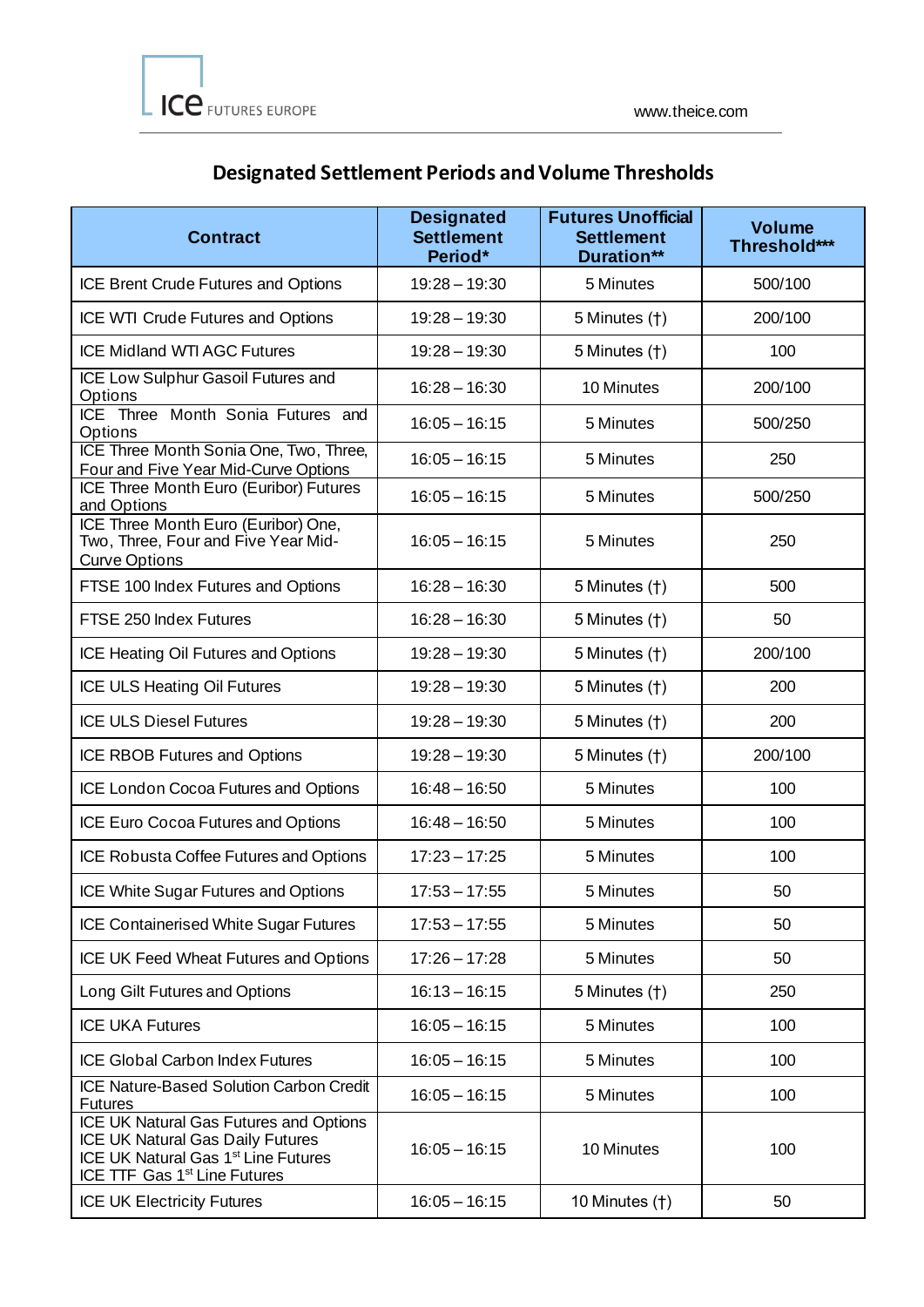# **Designated Settlement Periods and Volume Thresholds**

| <b>Contract</b>                                                                                                                                                           | <b>Designated</b><br><b>Settlement</b><br>Period* | <b>Futures Unofficial</b><br><b>Settlement</b><br><b>Duration**</b> | <b>Volume</b><br>Threshold*** |
|---------------------------------------------------------------------------------------------------------------------------------------------------------------------------|---------------------------------------------------|---------------------------------------------------------------------|-------------------------------|
| <b>ICE Brent Crude Futures and Options</b>                                                                                                                                | $19:28 - 19:30$                                   | 5 Minutes                                                           | 500/100                       |
| ICE WTI Crude Futures and Options                                                                                                                                         | $19:28 - 19:30$                                   | 5 Minutes (†)                                                       | 200/100                       |
| <b>ICE Midland WTI AGC Futures</b>                                                                                                                                        | $19:28 - 19:30$                                   | 5 Minutes (†)                                                       | 100                           |
| ICE Low Sulphur Gasoil Futures and<br>Options                                                                                                                             | $16:28 - 16:30$                                   | 10 Minutes                                                          | 200/100                       |
| ICE Three Month Sonia Futures and<br>Options                                                                                                                              | $16:05 - 16:15$                                   | 5 Minutes                                                           | 500/250                       |
| ICE Three Month Sonia One, Two, Three,<br>Four and Five Year Mid-Curve Options                                                                                            | $16:05 - 16:15$                                   | 5 Minutes                                                           | 250                           |
| ICE Three Month Euro (Euribor) Futures<br>and Options                                                                                                                     | $16:05 - 16:15$                                   | 5 Minutes                                                           | 500/250                       |
| ICE Three Month Euro (Euribor) One,<br>Two, Three, Four and Five Year Mid-<br><b>Curve Options</b>                                                                        | $16:05 - 16:15$                                   | 5 Minutes                                                           | 250                           |
| FTSE 100 Index Futures and Options                                                                                                                                        | $16:28 - 16:30$                                   | 5 Minutes (†)                                                       | 500                           |
| FTSE 250 Index Futures                                                                                                                                                    | $16:28 - 16:30$                                   | 5 Minutes (†)                                                       | 50                            |
| ICE Heating Oil Futures and Options                                                                                                                                       | $19:28 - 19:30$                                   | 5 Minutes (†)                                                       | 200/100                       |
| <b>ICE ULS Heating Oil Futures</b>                                                                                                                                        | $19:28 - 19:30$                                   | 5 Minutes (†)                                                       | 200                           |
| <b>ICE ULS Diesel Futures</b>                                                                                                                                             | $19:28 - 19:30$                                   | 5 Minutes (†)                                                       | 200                           |
| ICE RBOB Futures and Options                                                                                                                                              | $19:28 - 19:30$                                   | 5 Minutes (†)                                                       | 200/100                       |
| ICE London Cocoa Futures and Options                                                                                                                                      | $16:48 - 16:50$                                   | 5 Minutes                                                           | 100                           |
| ICE Euro Cocoa Futures and Options                                                                                                                                        | $16:48 - 16:50$                                   | 5 Minutes                                                           | 100                           |
| ICE Robusta Coffee Futures and Options                                                                                                                                    | $17:23 - 17:25$                                   | 5 Minutes                                                           | 100                           |
| ICE White Sugar Futures and Options                                                                                                                                       | $17:53 - 17:55$                                   | 5 Minutes                                                           | 50                            |
| ICE Containerised White Sugar Futures                                                                                                                                     | $17:53 - 17:55$                                   | 5 Minutes                                                           | 50                            |
| ICE UK Feed Wheat Futures and Options                                                                                                                                     | $17:26 - 17:28$                                   | 5 Minutes                                                           | 50                            |
| Long Gilt Futures and Options                                                                                                                                             | $16:13 - 16:15$                                   | 5 Minutes (†)                                                       | 250                           |
| <b>ICE UKA Futures</b>                                                                                                                                                    | $16:05 - 16:15$                                   | 5 Minutes                                                           | 100                           |
| <b>ICE Global Carbon Index Futures</b>                                                                                                                                    | $16:05 - 16:15$                                   | 5 Minutes                                                           | 100                           |
| <b>ICE Nature-Based Solution Carbon Credit</b><br><b>Futures</b>                                                                                                          | $16:05 - 16:15$                                   | 5 Minutes                                                           | 100                           |
| ICE UK Natural Gas Futures and Options<br>ICE UK Natural Gas Daily Futures<br>ICE UK Natural Gas 1 <sup>st</sup> Line Futures<br>ICE TTF Gas 1 <sup>st</sup> Line Futures | $16:05 - 16:15$                                   | 10 Minutes                                                          | 100                           |
| <b>ICE UK Electricity Futures</b>                                                                                                                                         | $16:05 - 16:15$                                   | 10 Minutes (†)                                                      | 50                            |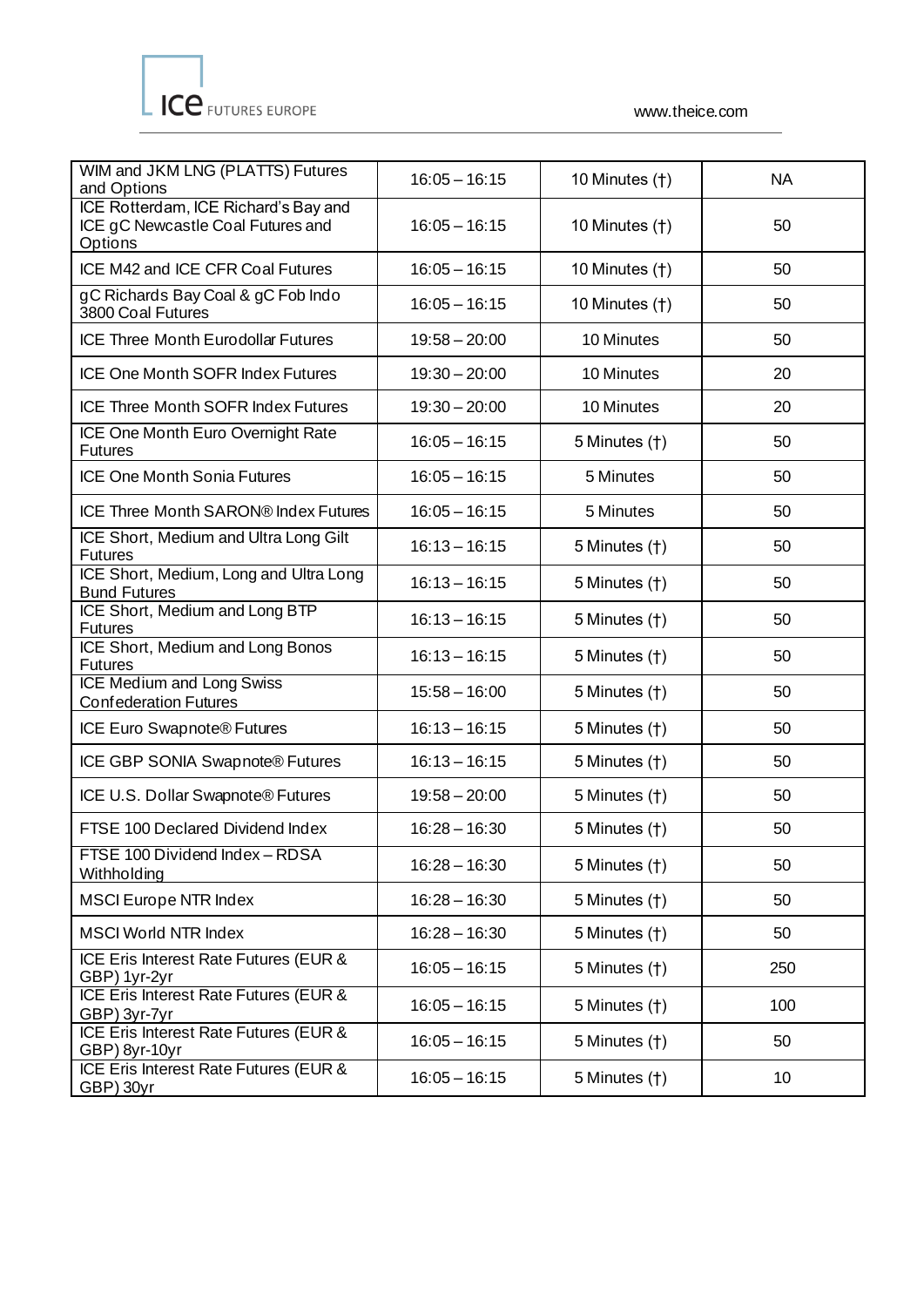

www.theice.com

| WIM and JKM LNG (PLATTS) Futures<br>and Options                                      | $16:05 - 16:15$ | 10 Minutes (†) | <b>NA</b>       |
|--------------------------------------------------------------------------------------|-----------------|----------------|-----------------|
| ICE Rotterdam, ICE Richard's Bay and<br>ICE gC Newcastle Coal Futures and<br>Options | $16:05 - 16:15$ | 10 Minutes (†) | 50              |
| ICE M42 and ICE CFR Coal Futures                                                     | $16:05 - 16:15$ | 10 Minutes (†) | 50              |
| gC Richards Bay Coal & gC Fob Indo<br>3800 Coal Futures                              | $16:05 - 16:15$ | 10 Minutes (†) | 50              |
| <b>ICE Three Month Eurodollar Futures</b>                                            | $19:58 - 20:00$ | 10 Minutes     | 50              |
| ICE One Month SOFR Index Futures                                                     | $19:30 - 20:00$ | 10 Minutes     | 20              |
| <b>ICE Three Month SOFR Index Futures</b>                                            | $19:30 - 20:00$ | 10 Minutes     | 20              |
| ICE One Month Euro Overnight Rate<br><b>Futures</b>                                  | $16:05 - 16:15$ | 5 Minutes (†)  | 50              |
| <b>ICE One Month Sonia Futures</b>                                                   | $16:05 - 16:15$ | 5 Minutes      | 50              |
| <b>ICE Three Month SARON® Index Futures</b>                                          | $16:05 - 16:15$ | 5 Minutes      | 50              |
| ICE Short, Medium and Ultra Long Gilt<br><b>Futures</b>                              | $16:13 - 16:15$ | 5 Minutes (†)  | 50              |
| ICE Short, Medium, Long and Ultra Long<br><b>Bund Futures</b>                        | $16:13 - 16:15$ | 5 Minutes (†)  | 50              |
| ICE Short, Medium and Long BTP<br><b>Futures</b>                                     | $16:13 - 16:15$ | 5 Minutes (†)  | 50              |
| ICE Short, Medium and Long Bonos<br><b>Futures</b>                                   | $16:13 - 16:15$ | 5 Minutes (†)  | 50              |
| <b>ICE Medium and Long Swiss</b><br><b>Confederation Futures</b>                     | $15:58 - 16:00$ | 5 Minutes (†)  | 50              |
| ICE Euro Swapnote® Futures                                                           | $16:13 - 16:15$ | 5 Minutes (†)  | 50              |
| ICE GBP SONIA Swapnote® Futures                                                      | $16:13 - 16:15$ | 5 Minutes (†)  | 50              |
| ICE U.S. Dollar Swapnote® Futures                                                    | $19:58 - 20:00$ | 5 Minutes (†)  | 50              |
| FTSE 100 Declared Dividend Index                                                     | $16:28 - 16:30$ | 5 Minutes (†)  | 50              |
| FTSE 100 Dividend Index - RDSA<br>Withholding                                        | $16:28 - 16:30$ | 5 Minutes (†)  | 50              |
| <b>MSCI Europe NTR Index</b>                                                         | $16:28 - 16:30$ | 5 Minutes (†)  | 50              |
| <b>MSCI World NTR Index</b>                                                          | $16:28 - 16:30$ | 5 Minutes (†)  | 50              |
| ICE Eris Interest Rate Futures (EUR &<br>GBP) 1yr-2yr                                | $16:05 - 16:15$ | 5 Minutes (†)  | 250             |
| <b>ICE Eris Interest Rate Futures (EUR &amp;</b><br>GBP) 3yr-7yr                     | $16:05 - 16:15$ | 5 Minutes (†)  | 100             |
| ICE Eris Interest Rate Futures (EUR &<br>GBP) 8yr-10yr                               | $16:05 - 16:15$ | 5 Minutes (†)  | 50              |
| ICE Eris Interest Rate Futures (EUR &<br>GBP) 30yr                                   | $16:05 - 16:15$ | 5 Minutes (†)  | 10 <sup>°</sup> |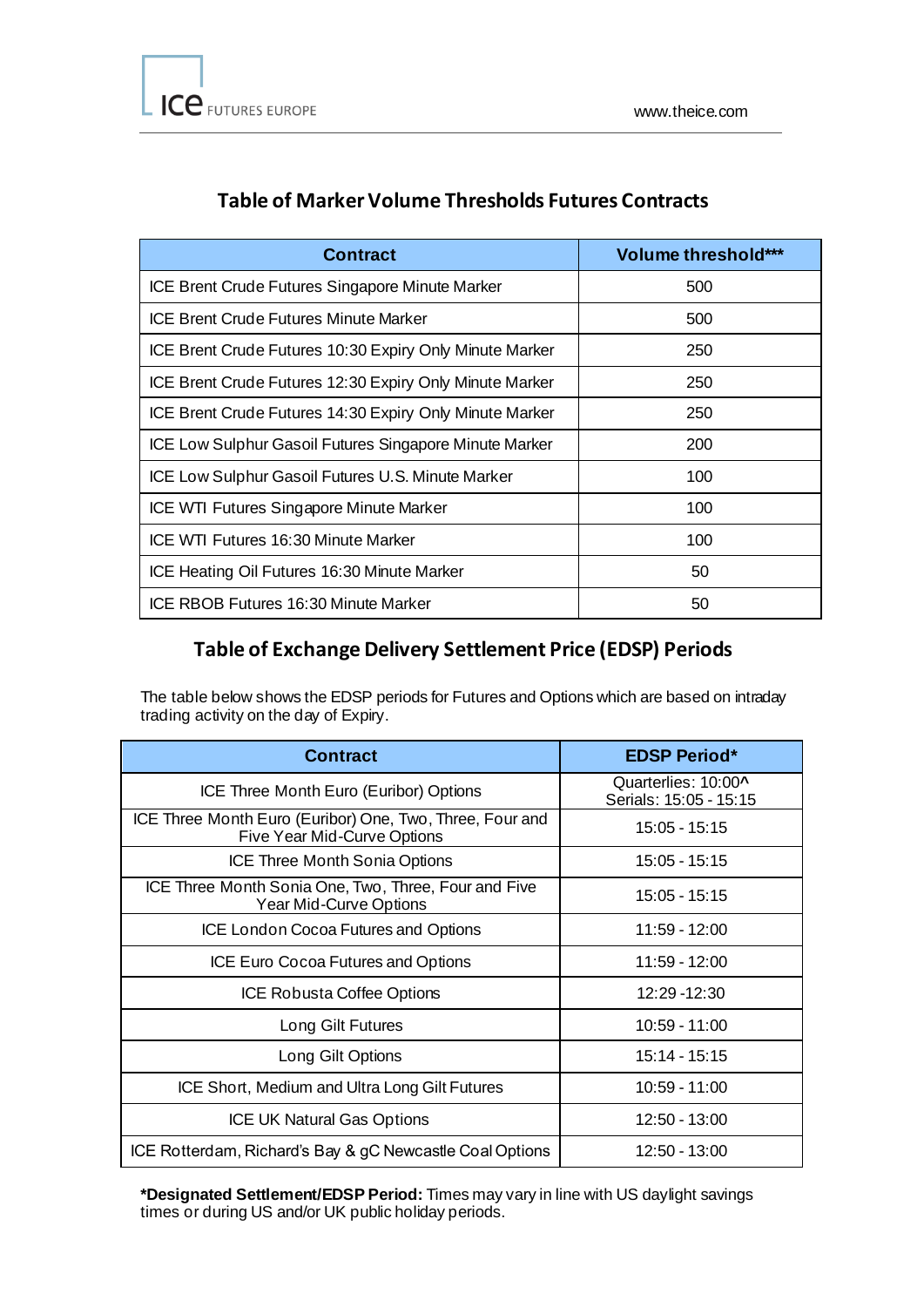## **Table of Marker Volume Thresholds Futures Contracts**

| <b>Contract</b>                                         | <b>Volume threshold***</b> |
|---------------------------------------------------------|----------------------------|
| ICE Brent Crude Futures Singapore Minute Marker         | 500                        |
| ICE Brent Crude Futures Minute Marker                   | 500                        |
| ICE Brent Crude Futures 10:30 Expiry Only Minute Marker | 250                        |
| ICE Brent Crude Futures 12:30 Expiry Only Minute Marker | 250                        |
| ICE Brent Crude Futures 14:30 Expiry Only Minute Marker | 250                        |
| ICE Low Sulphur Gasoil Futures Singapore Minute Marker  | 200                        |
| ICE Low Sulphur Gasoil Futures U.S. Minute Marker       | 100                        |
| ICE WTI Futures Singapore Minute Marker                 | 100                        |
| ICE WTI Futures 16:30 Minute Marker                     | 100                        |
| ICE Heating Oil Futures 16:30 Minute Marker             | 50                         |
| ICE RBOB Futures 16:30 Minute Marker                    | 50                         |

### **Table of Exchange Delivery Settlement Price (EDSP) Periods**

The table below shows the EDSP periods for Futures and Options which are based on intraday trading activity on the day of Expiry.

| <b>Contract</b>                                                                                | <b>EDSP Period*</b>                           |
|------------------------------------------------------------------------------------------------|-----------------------------------------------|
| ICE Three Month Euro (Euribor) Options                                                         | Quarterlies: 10:00^<br>Serials: 15:05 - 15:15 |
| ICE Three Month Euro (Euribor) One, Two, Three, Four and<br><b>Five Year Mid-Curve Options</b> | $15:05 - 15:15$                               |
| <b>ICE Three Month Sonia Options</b>                                                           | 15:05 - 15:15                                 |
| ICE Three Month Sonia One, Two, Three, Four and Five<br>Year Mid-Curve Options                 | 15:05 - 15:15                                 |
| ICE London Cocoa Futures and Options                                                           | 11:59 - 12:00                                 |
| ICE Euro Cocoa Futures and Options                                                             | 11:59 - 12:00                                 |
| <b>ICE Robusta Coffee Options</b>                                                              | 12:29 - 12:30                                 |
| Long Gilt Futures                                                                              | $10:59 - 11:00$                               |
| Long Gilt Options                                                                              | 15:14 - 15:15                                 |
| ICE Short, Medium and Ultra Long Gilt Futures                                                  | 10:59 - 11:00                                 |
| <b>ICE UK Natural Gas Options</b>                                                              | 12:50 - 13:00                                 |
| ICE Rotterdam, Richard's Bay & gC Newcastle Coal Options                                       | 12:50 - 13:00                                 |

**\*Designated Settlement/EDSP Period:** Times may vary in line with US daylight savings times or during US and/or UK public holiday periods.